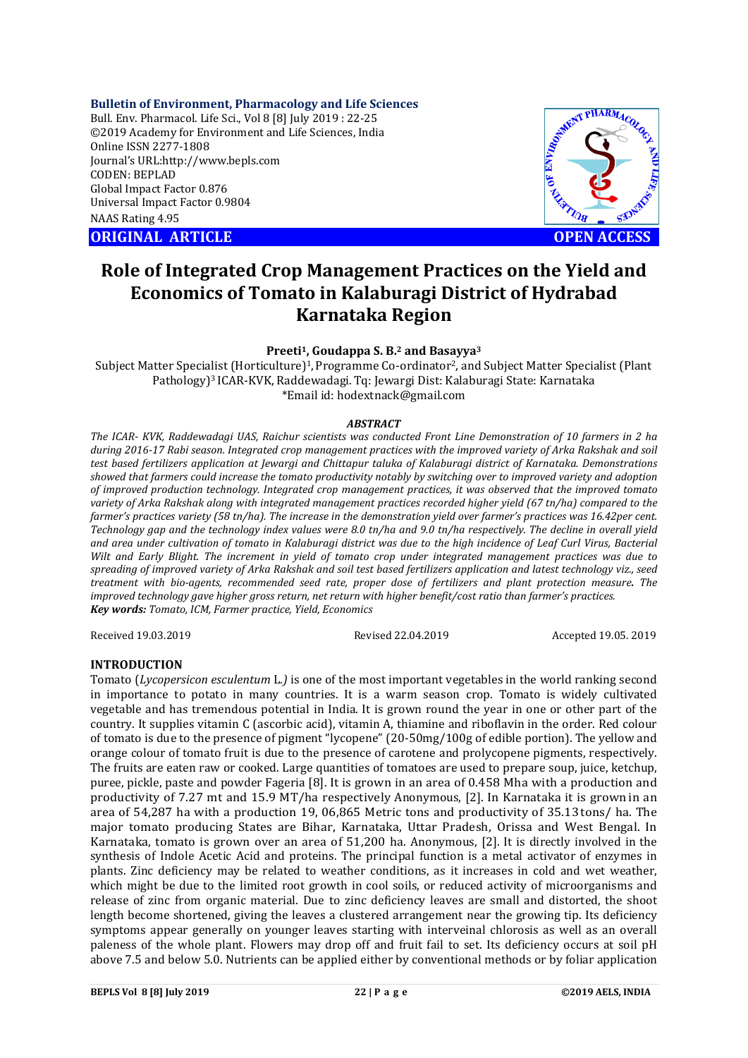**Bulletin of Environment, Pharmacology and Life Sciences**

Bull. Env. Pharmacol. Life Sci., Vol 8 [8] July 2019 : 22-25 ©2019 Academy for Environment and Life Sciences, India Online ISSN 2277-1808 Journal's URL:http://www.bepls.com CODEN: BEPLAD Global Impact Factor 0.876 Universal Impact Factor 0.9804 NAAS Rating 4.95

**ORIGINAL ARTICLE OPEN ACCESS** 



# **Role of Integrated Crop Management Practices on the Yield and Economics of Tomato in Kalaburagi District of Hydrabad Karnataka Region**

## **Preeti1, Goudappa S. B.2 and Basayya3**

Subject Matter Specialist (Horticulture)<sup>1</sup>, Programme Co-ordinator<sup>2</sup>, and Subject Matter Specialist (Plant Pathology)3 ICAR-KVK, Raddewadagi. Tq: Jewargi Dist: Kalaburagi State: Karnataka \*Email id: hodextnack@gmail.com

#### *ABSTRACT*

*The ICAR- KVK, Raddewadagi UAS, Raichur scientists was conducted Front Line Demonstration of 10 farmers in 2 ha during 2016-17 Rabi season. Integrated crop management practices with the improved variety of Arka Rakshak and soil test based fertilizers application at Jewargi and Chittapur taluka of Kalaburagi district of Karnataka. Demonstrations showed that farmers could increase the tomato productivity notably by switching over to improved variety and adoption of improved production technology. Integrated crop management practices, it was observed that the improved tomato variety of Arka Rakshak along with integrated management practices recorded higher yield (67 tn/ha) compared to the farmer's practices variety (58 tn/ha). The increase in the demonstration yield over farmer's practices was 16.42per cent. Technology gap and the technology index values were 8.0 tn/ha and 9.0 tn/ha respectively. The decline in overall yield and area under cultivation of tomato in Kalaburagi district was due to the high incidence of Leaf Curl Virus, Bacterial Wilt and Early Blight. The increment in yield of tomato crop under integrated management practices was due to spreading of improved variety of Arka Rakshak and soil test based fertilizers application and latest technology viz., seed treatment with bio-agents, recommended seed rate, proper dose of fertilizers and plant protection measure. The improved technology gave higher gross return, net return with higher benefit/cost ratio than farmer's practices. Key words: Tomato, ICM, Farmer practice, Yield, Economics*

Received 19.03.2019 Revised 22.04.2019 Accepted 19.05. 2019

#### **INTRODUCTION**

Tomato (*Lycopersicon esculentum* L*.)* is one of the most important vegetables in the world ranking second in importance to potato in many countries. It is a warm season crop. Tomato is widely cultivated vegetable and has tremendous potential in India. It is grown round the year in one or other part of the country. It supplies vitamin C (ascorbic acid), vitamin A, thiamine and riboflavin in the order. Red colour of tomato is due to the presence of pigment "lycopene" (20-50mg/100g of edible portion). The yellow and orange colour of tomato fruit is due to the presence of carotene and prolycopene pigments, respectively. The fruits are eaten raw or cooked. Large quantities of tomatoes are used to prepare soup, juice, ketchup, puree, pickle, paste and powder Fageria [8]. It is grown in an area of 0.458 Mha with a production and productivity of 7.27 mt and 15.9 MT/ha respectively Anonymous, [2]. In Karnataka it is grown in an area of 54,287 ha with a production 19, 06,865 Metric tons and productivity of 35.13 tons/ ha. The major tomato producing States are Bihar, Karnataka, Uttar Pradesh, Orissa and West Bengal. In Karnataka, tomato is grown over an area of 51,200 ha. Anonymous, [2]. It is directly involved in the synthesis of Indole Acetic Acid and proteins. The principal function is a metal activator of enzymes in plants. Zinc deficiency may be related to weather conditions, as it increases in cold and wet weather, which might be due to the limited root growth in cool soils, or reduced activity of microorganisms and release of zinc from organic material. Due to zinc deficiency leaves are small and distorted, the shoot length become shortened, giving the leaves a clustered arrangement near the growing tip. Its deficiency symptoms appear generally on younger leaves starting with interveinal chlorosis as well as an overall paleness of the whole plant. Flowers may drop off and fruit fail to set. Its deficiency occurs at soil pH above 7.5 and below 5.0. Nutrients can be applied either by conventional methods or by foliar application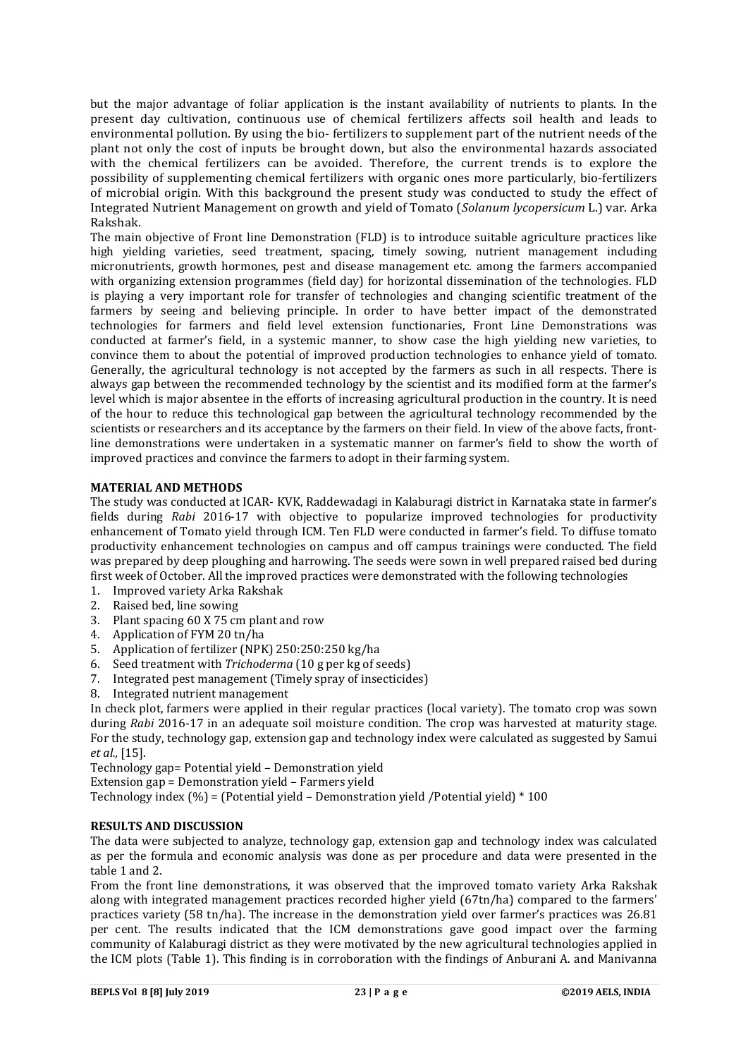but the major advantage of foliar application is the instant availability of nutrients to plants. In the present day cultivation, continuous use of chemical fertilizers affects soil health and leads to environmental pollution. By using the bio- fertilizers to supplement part of the nutrient needs of the plant not only the cost of inputs be brought down, but also the environmental hazards associated with the chemical fertilizers can be avoided. Therefore, the current trends is to explore the possibility of supplementing chemical fertilizers with organic ones more particularly, bio-fertilizers of microbial origin. With this background the present study was conducted to study the effect of Integrated Nutrient Management on growth and yield of Tomato (*Solanum lycopersicum* L.) var. Arka Rakshak.

The main objective of Front line Demonstration (FLD) is to introduce suitable agriculture practices like high yielding varieties, seed treatment, spacing, timely sowing, nutrient management including micronutrients, growth hormones, pest and disease management etc. among the farmers accompanied with organizing extension programmes (field day) for horizontal dissemination of the technologies. FLD is playing a very important role for transfer of technologies and changing scientific treatment of the farmers by seeing and believing principle. In order to have better impact of the demonstrated technologies for farmers and field level extension functionaries, Front Line Demonstrations was conducted at farmer's field, in a systemic manner, to show case the high yielding new varieties, to convince them to about the potential of improved production technologies to enhance yield of tomato. Generally, the agricultural technology is not accepted by the farmers as such in all respects. There is always gap between the recommended technology by the scientist and its modified form at the farmer's level which is major absentee in the efforts of increasing agricultural production in the country. It is need of the hour to reduce this technological gap between the agricultural technology recommended by the scientists or researchers and its acceptance by the farmers on their field. In view of the above facts, frontline demonstrations were undertaken in a systematic manner on farmer's field to show the worth of improved practices and convince the farmers to adopt in their farming system.

## **MATERIAL AND METHODS**

The study was conducted at ICAR- KVK, Raddewadagi in Kalaburagi district in Karnataka state in farmer's fields during *Rabi* 2016-17 with objective to popularize improved technologies for productivity enhancement of Tomato yield through ICM. Ten FLD were conducted in farmer's field. To diffuse tomato productivity enhancement technologies on campus and off campus trainings were conducted. The field was prepared by deep ploughing and harrowing. The seeds were sown in well prepared raised bed during first week of October. All the improved practices were demonstrated with the following technologies

- 1. Improved variety Arka Rakshak
- 2. Raised bed, line sowing
- 3. Plant spacing 60 X 75 cm plant and row
- 4. Application of FYM 20 tn/ha
- 5. Application of fertilizer (NPK) 250:250:250 kg/ha
- 6. Seed treatment with *Trichoderma* (10 g per kg of seeds)
- 7. Integrated pest management (Timely spray of insecticides)
- 8. Integrated nutrient management

In check plot, farmers were applied in their regular practices (local variety). The tomato crop was sown during *Rabi* 2016-17 in an adequate soil moisture condition. The crop was harvested at maturity stage. For the study, technology gap, extension gap and technology index were calculated as suggested by Samui *et al.,* [15].

Technology gap= Potential yield – Demonstration yield

Extension gap = Demonstration yield – Farmers yield

Technology index  $(\% )$  = (Potential yield – Demonstration yield /Potential yield) \* 100

#### **RESULTS AND DISCUSSION**

The data were subjected to analyze, technology gap, extension gap and technology index was calculated as per the formula and economic analysis was done as per procedure and data were presented in the table 1 and 2.

From the front line demonstrations, it was observed that the improved tomato variety Arka Rakshak along with integrated management practices recorded higher yield (67tn/ha) compared to the farmers' practices variety (58 tn/ha). The increase in the demonstration yield over farmer's practices was 26.81 per cent. The results indicated that the ICM demonstrations gave good impact over the farming community of Kalaburagi district as they were motivated by the new agricultural technologies applied in the ICM plots (Table 1). This finding is in corroboration with the findings of Anburani A. and Manivanna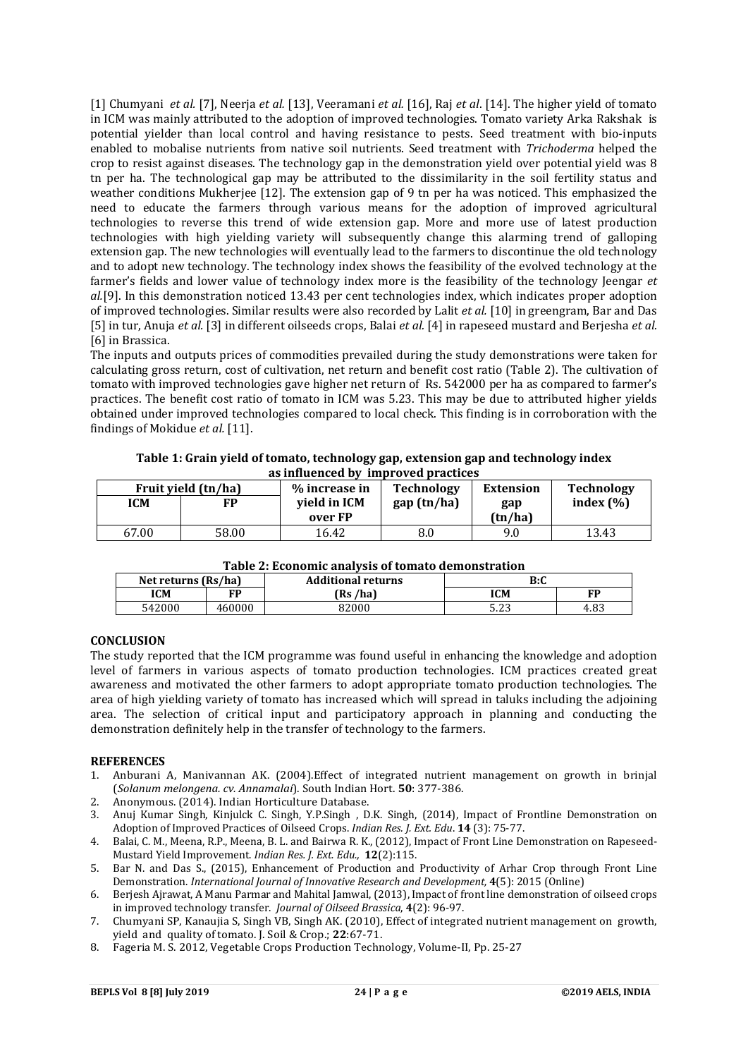[1] Chumyani *et al.* [7], Neerja *et al.* [13], Veeramani *et al.* [16], Raj *et al*. [14]. The higher yield of tomato in ICM was mainly attributed to the adoption of improved technologies. Tomato variety Arka Rakshak is potential yielder than local control and having resistance to pests. Seed treatment with bio-inputs enabled to mobalise nutrients from native soil nutrients. Seed treatment with *Trichoderma* helped the crop to resist against diseases. The technology gap in the demonstration yield over potential yield was 8 tn per ha. The technological gap may be attributed to the dissimilarity in the soil fertility status and weather conditions Mukherjee [12]. The extension gap of 9 tn per ha was noticed. This emphasized the need to educate the farmers through various means for the adoption of improved agricultural technologies to reverse this trend of wide extension gap. More and more use of latest production technologies with high yielding variety will subsequently change this alarming trend of galloping extension gap. The new technologies will eventually lead to the farmers to discontinue the old technology and to adopt new technology. The technology index shows the feasibility of the evolved technology at the farmer's fields and lower value of technology index more is the feasibility of the technology Jeengar *et al.*[9]. In this demonstration noticed 13.43 per cent technologies index, which indicates proper adoption of improved technologies. Similar results were also recorded by Lalit *et al.* [10] in greengram, Bar and Das [5] in tur, Anuja *et al.* [3] in different oilseeds crops, Balai *et al.* [4] in rapeseed mustard and Berjesha *et al.* [6] in Brassica.

The inputs and outputs prices of commodities prevailed during the study demonstrations were taken for calculating gross return, cost of cultivation, net return and benefit cost ratio (Table 2). The cultivation of tomato with improved technologies gave higher net return of Rs. 542000 per ha as compared to farmer's practices. The benefit cost ratio of tomato in ICM was 5.23. This may be due to attributed higher yields obtained under improved technologies compared to local check. This finding is in corroboration with the findings of Mokidue *et al.* [11].

| Fruit yield (tn/ha) |       | as immutintu dv<br>% increase in | muutovea praecies<br>Technology | Extension | <b>Technology</b> |
|---------------------|-------|----------------------------------|---------------------------------|-----------|-------------------|
|                     |       |                                  |                                 |           |                   |
| ICM                 | FP    | yield in ICM                     | gap (tn/ha)                     | gap       | index $(\% )$     |
|                     |       | over FP                          |                                 | (tn/ha)   |                   |
| 67.00               | 58.00 | 16.42                            | 8.0                             | 9.0       | 13.43             |

**Table 1: Grain yield of tomato, technology gap, extension gap and technology index as influenced by improved practices**

| Table 2: Economic analysis of tomato demonstration |                    |  |  |  |  |  |
|----------------------------------------------------|--------------------|--|--|--|--|--|
| $(D_2/h_2)$                                        | Additional notunna |  |  |  |  |  |

| Net returns (Rs/ha) |        | <b>Additional returns</b> | B:C          |      |
|---------------------|--------|---------------------------|--------------|------|
| ICM                 | CD     | (Rs /ha)                  | ICM          | FО   |
| 542000              | 460000 | 82000                     | ല ച<br>ں ے.ر | 4.83 |

### **CONCLUSION**

The study reported that the ICM programme was found useful in enhancing the knowledge and adoption level of farmers in various aspects of tomato production technologies. ICM practices created great awareness and motivated the other farmers to adopt appropriate tomato production technologies. The area of high yielding variety of tomato has increased which will spread in taluks including the adjoining area. The selection of critical input and participatory approach in planning and conducting the demonstration definitely help in the transfer of technology to the farmers.

#### **REFERENCES**

- 1. Anburani A, Manivannan AK. (2004).Effect of integrated nutrient management on growth in brinjal (*Solanum melongena. cv. Annamalai*). South Indian Hort. **50**: 377-386.
- 2. Anonymous. (2014). Indian Horticulture Database.
- 3. Anuj Kumar Singh, Kinjulck C. Singh, Y.P.Singh , D.K. Singh, (2014), Impact of Frontline Demonstration on Adoption of Improved Practices of Oilseed Crops. *Indian Res. J. Ext. Edu*. **14** (3): 75-77.
- 4. Balai, C. M., Meena, R.P., Meena, B. L. and Bairwa R. K., (2012), Impact of Front Line Demonstration on Rapeseed-Mustard Yield Improvement. *Indian Res. J. Ext. Edu.,* **12**(2):115.
- 5. Bar N. and Das S., (2015), Enhancement of Production and Productivity of Arhar Crop through Front Line Demonstration. *International Journal of Innovative Research and Development,* **4**(5): 2015 (Online)
- 6. Berjesh Ajrawat, A Manu Parmar and Mahital Jamwal, (2013), Impact of front line demonstration of oilseed crops in improved technology transfer. *Journal of Oilseed Brassica*, **4**(2): 96-97.
- 7. Chumyani SP, Kanaujia S, Singh VB, Singh AK. (2010), Effect of integrated nutrient management on growth, yield and quality of tomato. J. Soil & Crop.; **22**:67-71.
- 8. Fageria M. S. 2012, Vegetable Crops Production Technology, Volume-II, Pp. 25-27